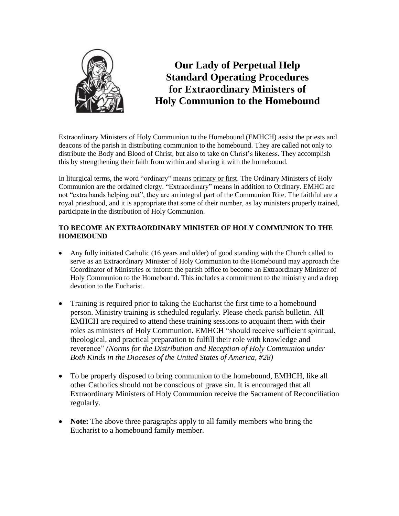

**Our Lady of Perpetual Help Standard Operating Procedures for Extraordinary Ministers of Holy Communion to the Homebound**

Extraordinary Ministers of Holy Communion to the Homebound (EMHCH) assist the priests and deacons of the parish in distributing communion to the homebound. They are called not only to distribute the Body and Blood of Christ, but also to take on Christ's likeness. They accomplish this by strengthening their faith from within and sharing it with the homebound.

In liturgical terms, the word "ordinary" means primary or first. The Ordinary Ministers of Holy Communion are the ordained clergy. "Extraordinary" means in addition to Ordinary. EMHC are not "extra hands helping out", they are an integral part of the Communion Rite. The faithful are a royal priesthood, and it is appropriate that some of their number, as lay ministers properly trained, participate in the distribution of Holy Communion.

## **TO BECOME AN EXTRAORDINARY MINISTER OF HOLY COMMUNION TO THE HOMEBOUND**

- Any fully initiated Catholic (16 years and older) of good standing with the Church called to serve as an Extraordinary Minister of Holy Communion to the Homebound may approach the Coordinator of Ministries or inform the parish office to become an Extraordinary Minister of Holy Communion to the Homebound. This includes a commitment to the ministry and a deep devotion to the Eucharist.
- Training is required prior to taking the Eucharist the first time to a homebound person. Ministry training is scheduled regularly. Please check parish bulletin. All EMHCH are required to attend these training sessions to acquaint them with their roles as ministers of Holy Communion. EMHCH "should receive sufficient spiritual, theological, and practical preparation to fulfill their role with knowledge and reverence" *(Norms for the Distribution and Reception of Holy Communion under Both Kinds in the Dioceses of the United States of America, #28)*
- To be properly disposed to bring communion to the homebound, EMHCH, like all other Catholics should not be conscious of grave sin. It is encouraged that all Extraordinary Ministers of Holy Communion receive the Sacrament of Reconciliation regularly.
- **Note:** The above three paragraphs apply to all family members who bring the Eucharist to a homebound family member.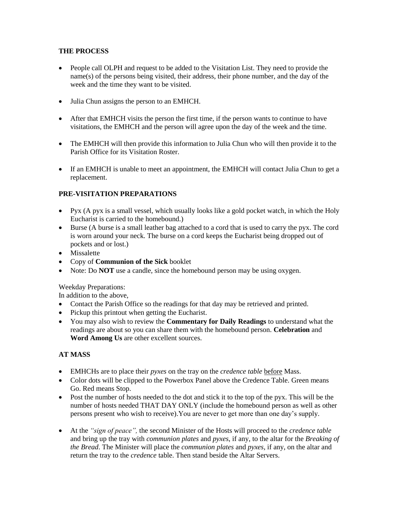## **THE PROCESS**

- People call OLPH and request to be added to the Visitation List. They need to provide the name(s) of the persons being visited, their address, their phone number, and the day of the week and the time they want to be visited.
- Julia Chun assigns the person to an EMHCH.
- After that EMHCH visits the person the first time, if the person wants to continue to have visitations, the EMHCH and the person will agree upon the day of the week and the time.
- The EMHCH will then provide this information to Julia Chun who will then provide it to the Parish Office for its Visitation Roster.
- If an EMHCH is unable to meet an appointment, the EMHCH will contact Julia Chun to get a replacement.

# **PRE-VISITATION PREPARATIONS**

- Pyx (A pyx is a small vessel, which usually looks like a gold pocket watch, in which the Holy Eucharist is carried to the homebound.)
- Burse (A burse is a small leather bag attached to a cord that is used to carry the pyx. The cord is worn around your neck. The burse on a cord keeps the Eucharist being dropped out of pockets and or lost.)
- Missalette
- Copy of **Communion of the Sick** booklet
- Note: Do **NOT** use a candle, since the homebound person may be using oxygen.

Weekday Preparations:

In addition to the above,

- Contact the Parish Office so the readings for that day may be retrieved and printed.
- Pickup this printout when getting the Eucharist.
- You may also wish to review the **Commentary for Daily Readings** to understand what the readings are about so you can share them with the homebound person. **Celebration** and **Word Among Us** are other excellent sources.

### **AT MASS**

- EMHCHs are to place their *pyxes* on the tray on the *credence table* before Mass.
- Color dots will be clipped to the Powerbox Panel above the Credence Table. Green means Go. Red means Stop.
- Post the number of hosts needed to the dot and stick it to the top of the pyx. This will be the number of hosts needed THAT DAY ONLY (include the homebound person as well as other persons present who wish to receive).You are never to get more than one day's supply.
- At the *"sign of peace",* the second Minister of the Hosts will proceed to the *credence table* and bring up the tray with *communion plates* and *pyxes*, if any, to the altar for the *Breaking of the Bread*. The Minister will place the *communion plates* and *pyxes,* if any, on the altar and return the tray to the *credence* table. Then stand beside the Altar Servers.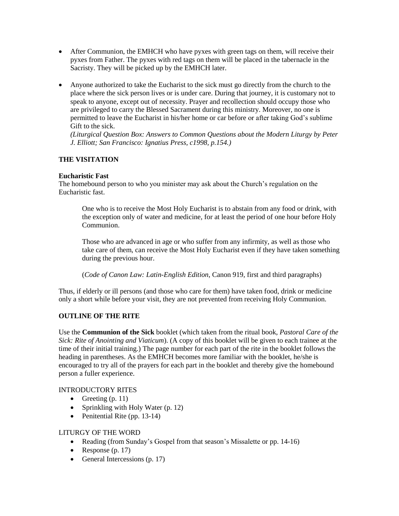- After Communion, the EMHCH who have pyxes with green tags on them, will receive their pyxes from Father. The pyxes with red tags on them will be placed in the tabernacle in the Sacristy. They will be picked up by the EMHCH later.
- Anyone authorized to take the Eucharist to the sick must go directly from the church to the place where the sick person lives or is under care. During that journey, it is customary not to speak to anyone, except out of necessity. Prayer and recollection should occupy those who are privileged to carry the Blessed Sacrament during this ministry. Moreover, no one is permitted to leave the Eucharist in his/her home or car before or after taking God's sublime Gift to the sick.

*(Liturgical Question Box: Answers to Common Questions about the Modern Liturgy by Peter J. Elliott; San Francisco: Ignatius Press, c1998, p.154.)*

# **THE VISITATION**

#### **Eucharistic Fast**

The homebound person to who you minister may ask about the Church's regulation on the Eucharistic fast.

One who is to receive the Most Holy Eucharist is to abstain from any food or drink, with the exception only of water and medicine, for at least the period of one hour before Holy Communion.

Those who are advanced in age or who suffer from any infirmity, as well as those who take care of them, can receive the Most Holy Eucharist even if they have taken something during the previous hour.

(*Code of Canon Law: Latin-English Edition*, Canon 919, first and third paragraphs)

Thus, if elderly or ill persons (and those who care for them) have taken food, drink or medicine only a short while before your visit, they are not prevented from receiving Holy Communion.

### **OUTLINE OF THE RITE**

Use the **Communion of the Sick** booklet (which taken from the ritual book, *Pastoral Care of the Sick: Rite of Anointing and Viaticum*). (A copy of this booklet will be given to each trainee at the time of their initial training.) The page number for each part of the rite in the booklet follows the heading in parentheses. As the EMHCH becomes more familiar with the booklet, he/she is encouraged to try all of the prayers for each part in the booklet and thereby give the homebound person a fuller experience.

### INTRODUCTORY RITES

- Greeting  $(p. 11)$
- Sprinkling with Holy Water (p. 12)
- Penitential Rite (pp. 13-14)

#### LITURGY OF THE WORD

- Reading (from Sunday's Gospel from that season's Missalette or pp. 14-16)
- Response (p. 17)
- General Intercessions  $(p. 17)$